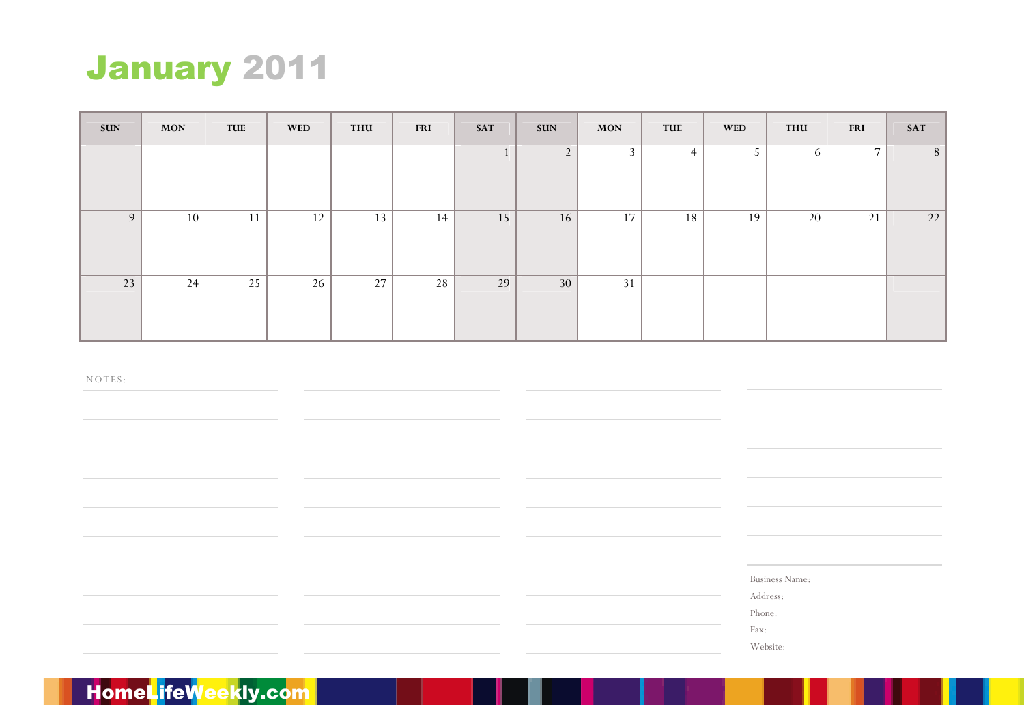

| <b>SUN</b> | <b>MON</b> | TUE | <b>WED</b> | <b>THU</b> | <b>FRI</b> | <b>SAT</b> | <b>SUN</b>     | <b>MON</b>     | <b>TUE</b>     | <b>WED</b> | THU | <b>FRI</b>     | <b>SAT</b>      |
|------------|------------|-----|------------|------------|------------|------------|----------------|----------------|----------------|------------|-----|----------------|-----------------|
|            |            |     |            |            |            |            | $\overline{2}$ | $\overline{3}$ | $\overline{4}$ | 5          | 6   | $\overline{7}$ | $8\phantom{.}8$ |
| 9          | 10         | 11  | 12         | 13         | 14         | 15         | 16             | 17             | 18             | 19         | 20  | 21             | 22              |
| 23         | 24         | 25  | 26         | 27         | 28         | 29         | 30             | 31             |                |            |     |                |                 |

Business Name:

Address:

Phone:

Fax:

Website: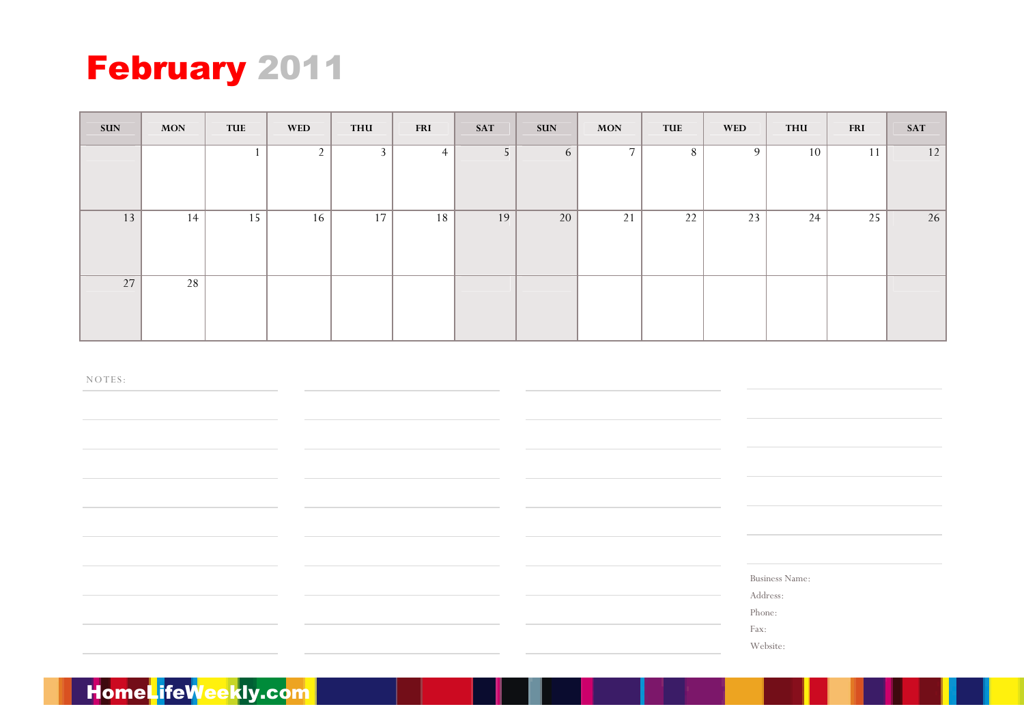

| <b>SUN</b> | <b>MON</b> | TUE | <b>WED</b>     | <b>THU</b>     | <b>FRI</b>     | <b>SAT</b>     | <b>SUN</b> | <b>MON</b>     | TUE | <b>WED</b> | <b>THU</b> | <b>FRI</b> | <b>SAT</b> |
|------------|------------|-----|----------------|----------------|----------------|----------------|------------|----------------|-----|------------|------------|------------|------------|
|            |            |     | $\overline{2}$ | $\overline{3}$ | $\overline{4}$ | 5 <sub>1</sub> | 6          | $\overline{7}$ | 8   | 9          | 10         | 11         | 12         |
| 13         | 14         | 15  | 16             | 17             | 18             | 19             | 20         | 21             | 22  | 23         | 24         | 25         | 26         |
| 27         | 28         |     |                |                |                |                |            |                |     |            |            |            |            |

Business Name:

Address:

Phone:

Fax:

Website: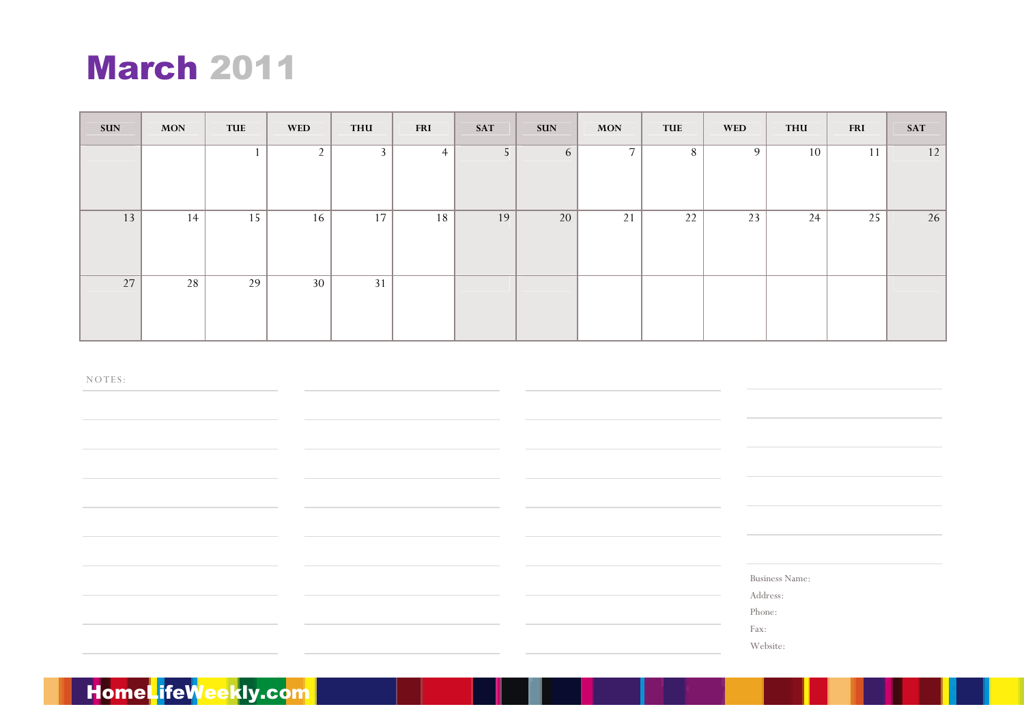# March <sup>2011</sup>

| <b>SUN</b> | <b>MON</b> | TUE | <b>WED</b>     | <b>THU</b>     | <b>FRI</b>     | <b>SAT</b> | <b>SUN</b> | <b>MON</b>     | <b>TUE</b> | <b>WED</b> | THU | <b>FRI</b> | <b>SAT</b> |
|------------|------------|-----|----------------|----------------|----------------|------------|------------|----------------|------------|------------|-----|------------|------------|
|            |            |     | $\overline{2}$ | $\overline{3}$ | $\overline{4}$ | 5          | 6          | $\overline{7}$ | 8          | 9          | 10  | 11         | 12         |
| 13         | 14         | 15  | 16             | 17             | 18             | 19         | 20         | 21             | 22         | 23         | 24  | 25         | 26         |
| 27         | 28         | 29  | 30             | 31             |                |            |            |                |            |            |     |            |            |

NO TES:

Business Name:

Address:

Phone:

Fax:

Website: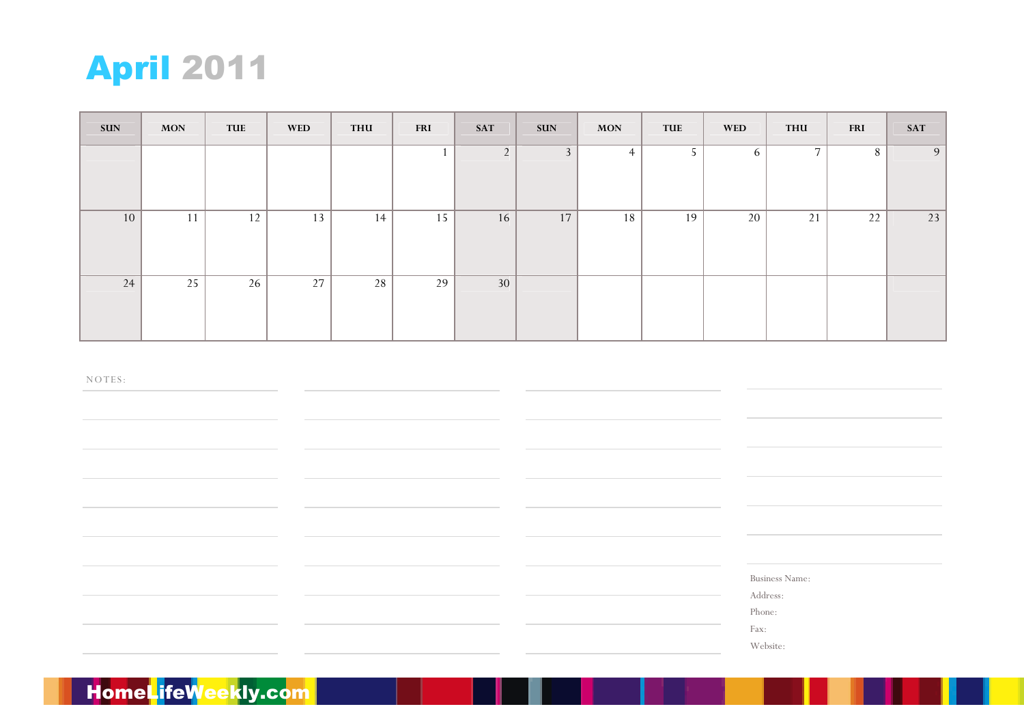

| <b>SUN</b> | <b>MON</b> | TUE | <b>WED</b> | <b>THU</b> | <b>FRI</b> | <b>SAT</b>     | <b>SUN</b>     | <b>MON</b>     | <b>TUE</b> | <b>WED</b> | THU            | <b>FRI</b> | <b>SAT</b> |
|------------|------------|-----|------------|------------|------------|----------------|----------------|----------------|------------|------------|----------------|------------|------------|
|            |            |     |            |            |            | $\overline{2}$ | 3 <sup>1</sup> | $\overline{4}$ | 5          | 6          | $\overline{7}$ | $\,8\,$    | 9          |
| 10         | 11         | 12  | 13         | 14         | 15         | 16             | 17             | 18             | 19         | 20         | 21             | 22         | 23         |
| 24         | 25         | 26  | 27         | 28         | 29         | 30             |                |                |            |            |                |            |            |

Business Name:

Address:

Phone:

Fax:

Website: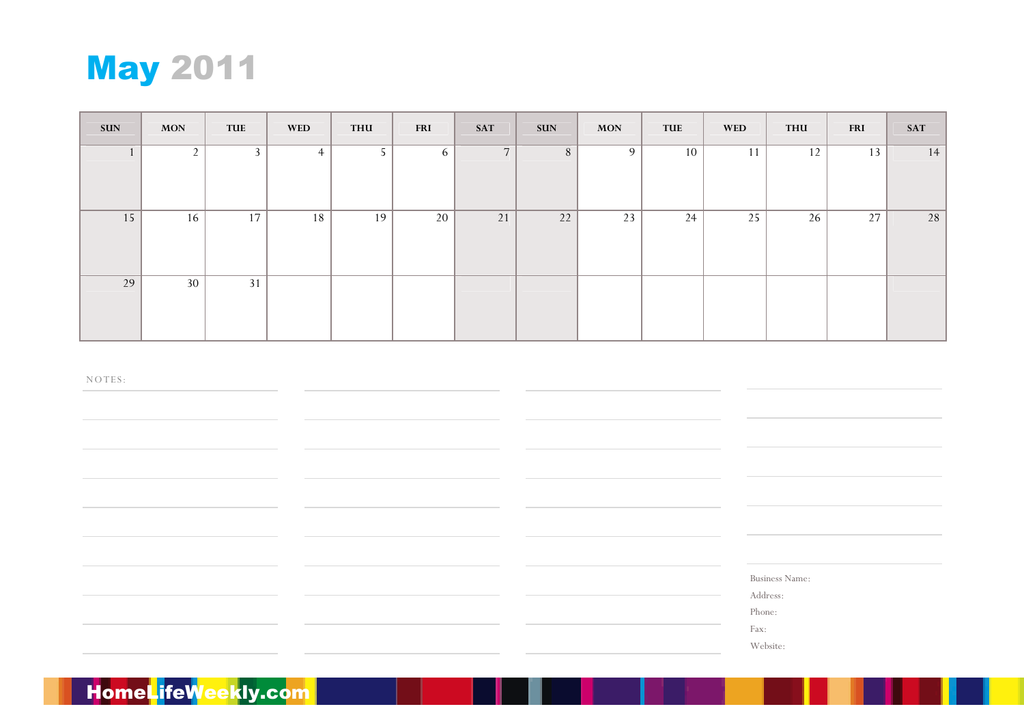

| <b>SUN</b> | <b>MON</b>  | TUE | <b>WED</b>     | <b>THU</b> | <b>FRI</b> | <b>SAT</b>     | <b>SUN</b> | <b>MON</b> | <b>TUE</b> | <b>WED</b> | <b>THU</b> | <b>FRI</b> | <b>SAT</b> |
|------------|-------------|-----|----------------|------------|------------|----------------|------------|------------|------------|------------|------------|------------|------------|
|            | $2^{\circ}$ | 3   | $\overline{4}$ | 5          | 6          | $\overline{7}$ | 8          | 9          | 10         | 11         | $12$       | 13         | 14         |
| 15         | 16          | 17  | 18             | 19         | 20         | 21             | 22         | 23         | 24         | 25         | 26         | 27         | 28         |
| 29         | 30          | 31  |                |            |            |                |            |            |            |            |            |            |            |

Business Name:

Address:

Phone:

Fax:

Website: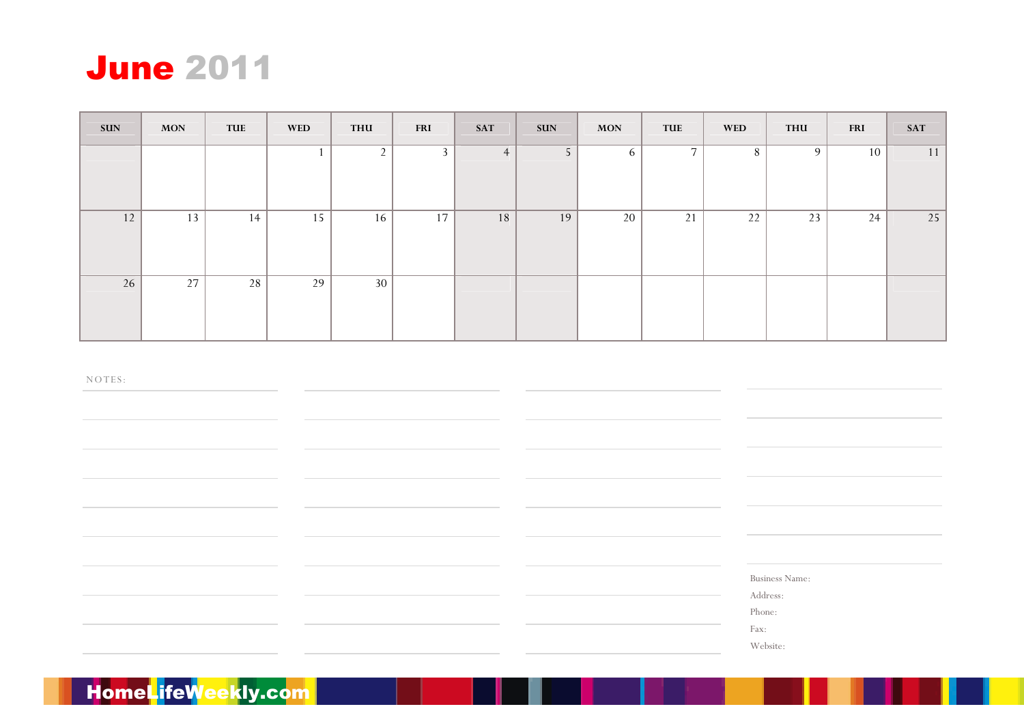

| <b>SUN</b> | <b>MON</b> | TUE | <b>WED</b> | <b>THU</b>     | <b>FRI</b>     | <b>SAT</b> | <b>SUN</b>     | <b>MON</b> | TUE            | <b>WED</b> | <b>THU</b> | <b>FRI</b> | <b>SAT</b> |
|------------|------------|-----|------------|----------------|----------------|------------|----------------|------------|----------------|------------|------------|------------|------------|
|            |            |     |            | $\overline{2}$ | $\overline{3}$ | 4          | 5 <sup>1</sup> | 6          | $\overline{7}$ | 8          | 9          | 10         | 11         |
| 12         | 13         | 14  | 15         | 16             | 17             | 18         | 19             | 20         | 21             | 22         | 23         | 24         | 25         |
| 26         | 27         | 28  | 29         | 30             |                |            |                |            |                |            |            |            |            |

Business Name:

Address:

Phone:

Fax:

Website: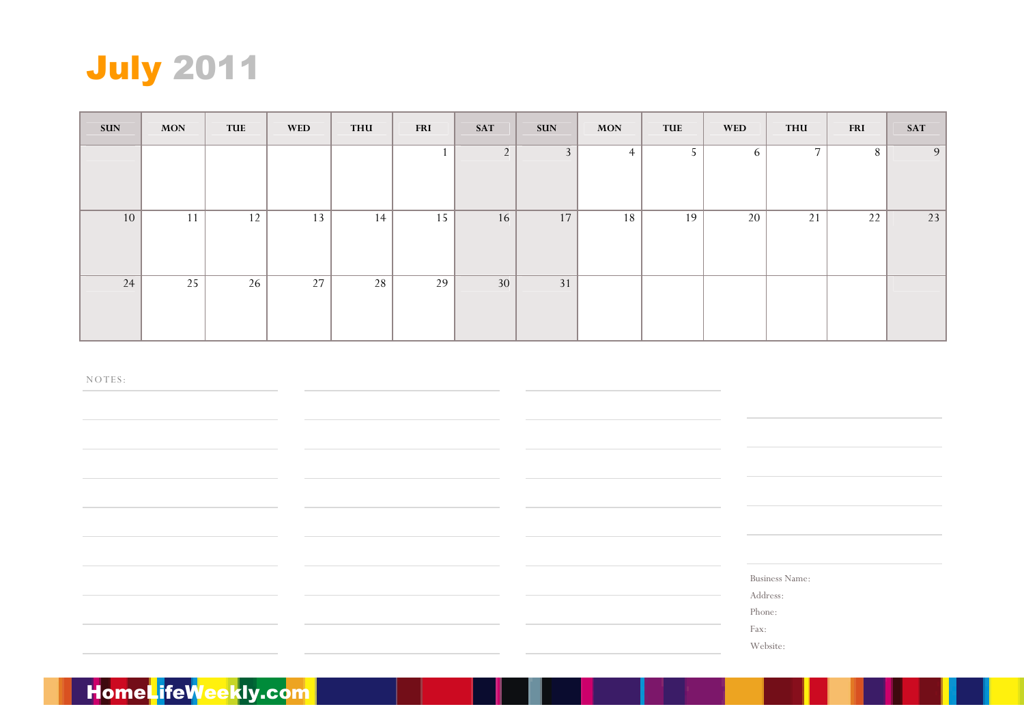

| <b>SUN</b> | <b>MON</b> | TUE | <b>WED</b> | <b>THU</b> | <b>FRI</b> | <b>SAT</b>     | <b>SUN</b>     | <b>MON</b>     | <b>TUE</b> | <b>WED</b> | <b>THU</b>     | <b>FRI</b> | <b>SAT</b> |
|------------|------------|-----|------------|------------|------------|----------------|----------------|----------------|------------|------------|----------------|------------|------------|
|            |            |     |            |            |            | $\overline{2}$ | 3 <sup>1</sup> | $\overline{4}$ | 5          | 6          | $\overline{7}$ | $\,8\,$    | 9          |
| 10         | 11         | 12  | 13         | 14         | 15         | 16             | 17             | 18             | 19         | 20         | 21             | 22         | 23         |
| 24         | 25         | 26  | 27         | 28         | 29         | 30             | 31             |                |            |            |                |            |            |

Business Name:

Address:

Phone:

Fax:

Website:

# | HomeL<mark>i</mark>feWeekly.com<mark>|</mark>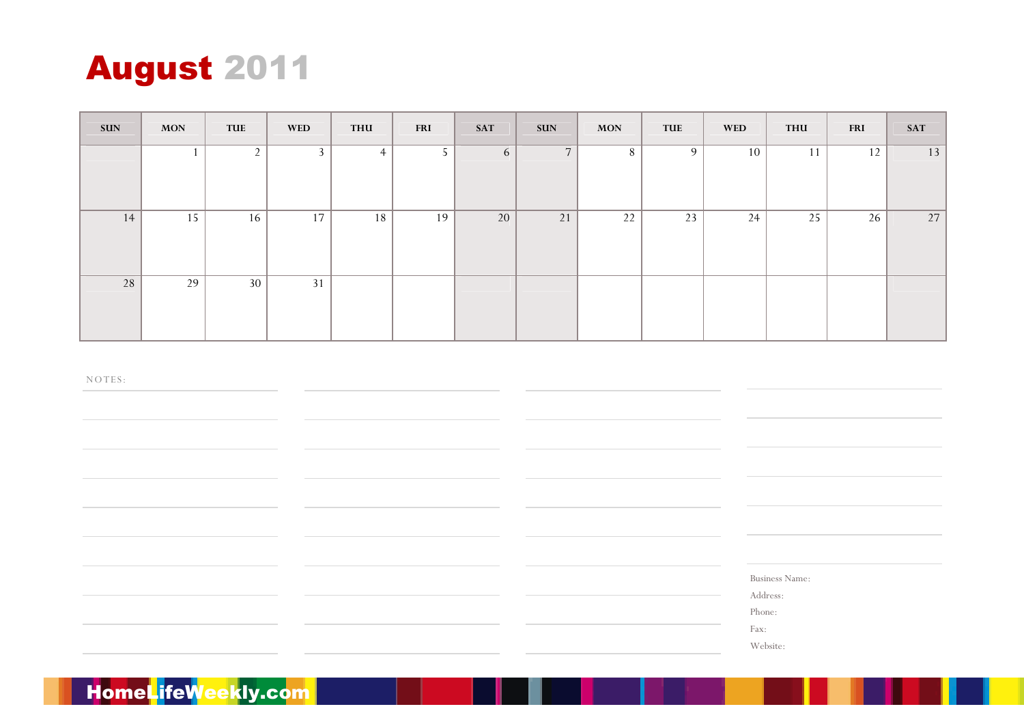# August <sup>2011</sup>

| <b>SUN</b> | <b>MON</b> | TUE            | <b>WED</b> | <b>THU</b>     | <b>FRI</b> | <b>SAT</b> | <b>SUN</b>     | <b>MON</b> | TUE | <b>WED</b> | <b>THU</b> | <b>FRI</b> | <b>SAT</b> |
|------------|------------|----------------|------------|----------------|------------|------------|----------------|------------|-----|------------|------------|------------|------------|
|            |            | $\overline{2}$ | 3          | $\overline{4}$ | 5          | 6          | $\overline{7}$ | 8          | 9   | 10         | 11         | 12         | 13         |
| 14         | 15         | 16             | $17\,$     | 18             | 19         | 20         | 21             | 22         | 23  | 24         | 25         | 26         | 27         |
| 28         | 29         | 30             | 31         |                |            |            |                |            |     |            |            |            |            |

NO TES:

Business Name:

Address:

Phone:

Fax:

Website: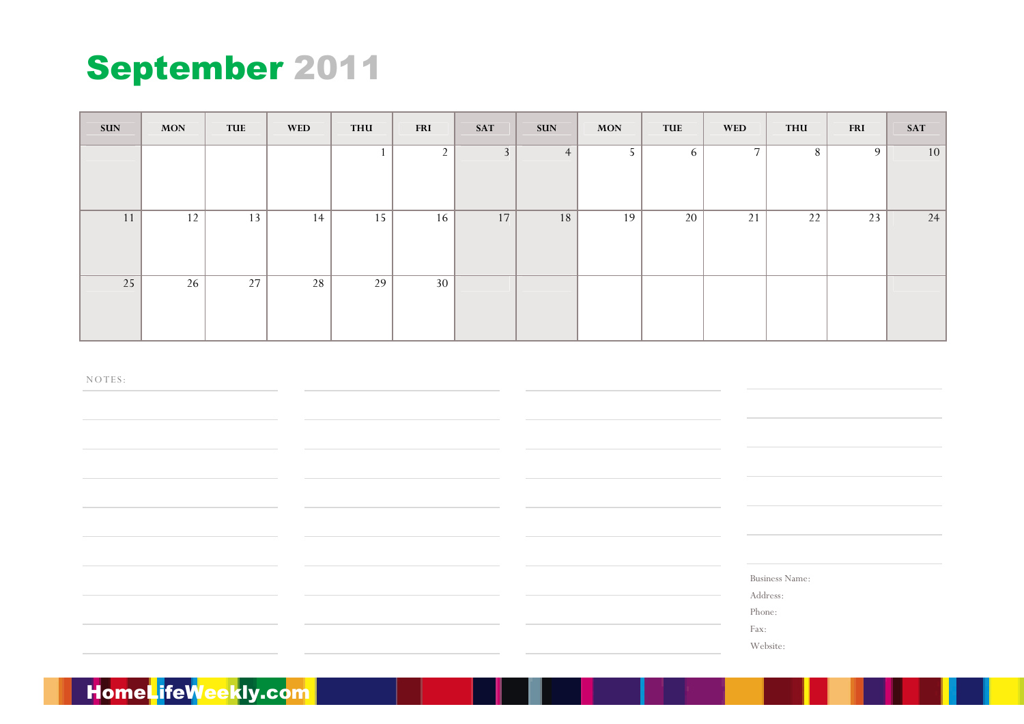# September <sup>2011</sup>

| <b>SUN</b> | <b>MON</b> | TUE | <b>WED</b> | <b>THU</b> | <b>FRI</b> | <b>SAT</b>   | <b>SUN</b>     | <b>MON</b> | TUE | <b>WED</b> | <b>THU</b>     | <b>FRI</b> | <b>SAT</b> |
|------------|------------|-----|------------|------------|------------|--------------|----------------|------------|-----|------------|----------------|------------|------------|
|            |            |     |            |            | 2          | $\mathbf{3}$ | $\overline{4}$ | 5          | 6   | 7          | $8\phantom{.}$ | 9          | 10         |
| 11         | 12         | 13  | 14         | 15         | 16         | 17           | 18             | 19         | 20  | 21         | 22             | 23         | 24         |
| 25         | 26         | 27  | 28         | 29         | 30         |              |                |            |     |            |                |            |            |

NO TES:

Business Name:

Address:

Phone:

Fax:

Website: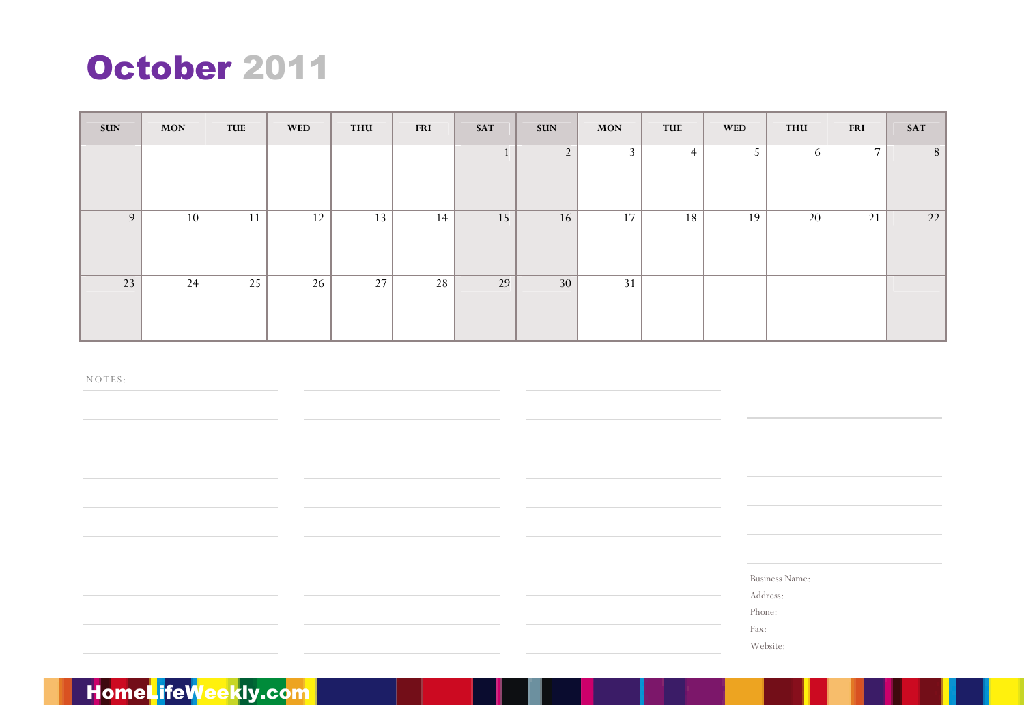# October <sup>2011</sup>

| <b>SUN</b> | <b>MON</b> | TUE | <b>WED</b> | <b>THU</b> | <b>FRI</b> | <b>SAT</b> | <b>SUN</b>     | <b>MON</b> | TUE            | <b>WED</b> | <b>THU</b> | <b>FRI</b>     | <b>SAT</b> |
|------------|------------|-----|------------|------------|------------|------------|----------------|------------|----------------|------------|------------|----------------|------------|
|            |            |     |            |            |            |            | $\overline{2}$ | 3          | $\overline{4}$ | 5          | 6          | $\overline{ }$ | 8          |
| 9          | 10         | 11  | 12         | 13         | 14         | 15         | 16             | 17         | 18             | 19         | 20         | 21             | 22         |
| 23         | 24         | 25  | 26         | 27         | 28         | 29         | 30             | 31         |                |            |            |                |            |

NO TES:

Business Name:

Address:

Phone:

Fax:

Website: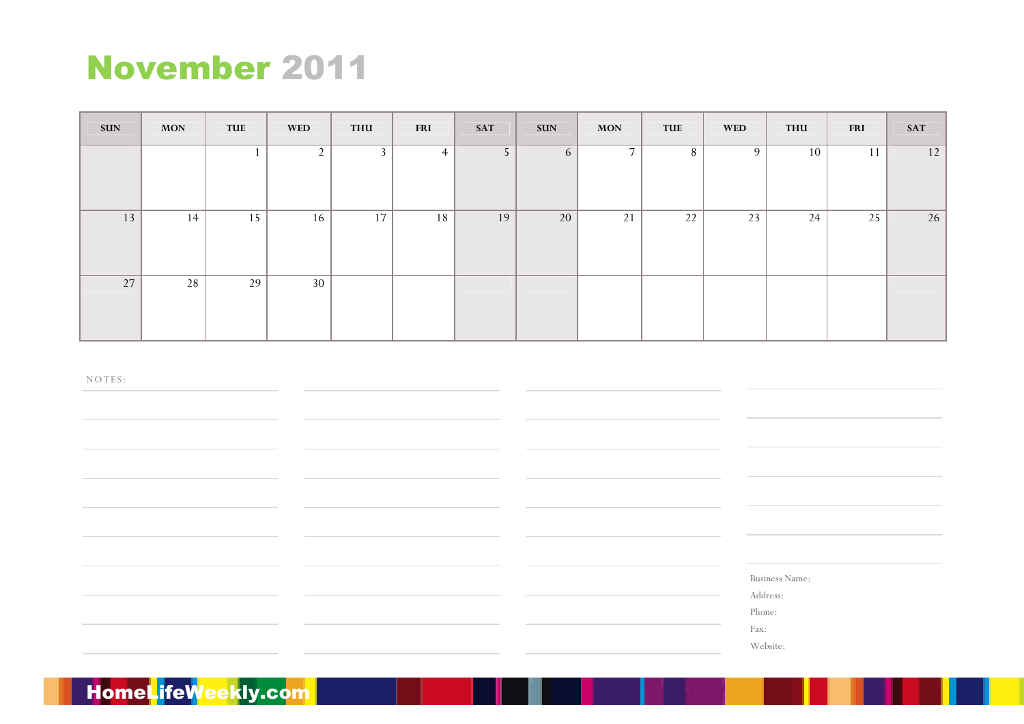# November <sup>2011</sup>

| <b>SUN</b> | <b>MON</b> | TUE | <b>WED</b>     | <b>THU</b> | <b>FRI</b>     | <b>SAT</b>     | <b>SUN</b> | <b>MON</b>     | TUE | <b>WED</b> | <b>THU</b> | <b>FRI</b> | <b>SAT</b> |
|------------|------------|-----|----------------|------------|----------------|----------------|------------|----------------|-----|------------|------------|------------|------------|
|            |            |     | $\overline{2}$ | 3          | $\overline{4}$ | 5 <sup>5</sup> | 6          | $\overline{7}$ | 8   | 9          | 10         | 11         | 12         |
| 13         | 14         | 15  | 16             | 17         | 18             | 19             | 20         | 21             | 22  | 23         | 24         | 25         | 26         |
| 27         | 28         | 29  | 30             |            |                |                |            |                |     |            |            |            |            |

NO TES:

Business Name:

Address:

Phone:

Fax:

Website: